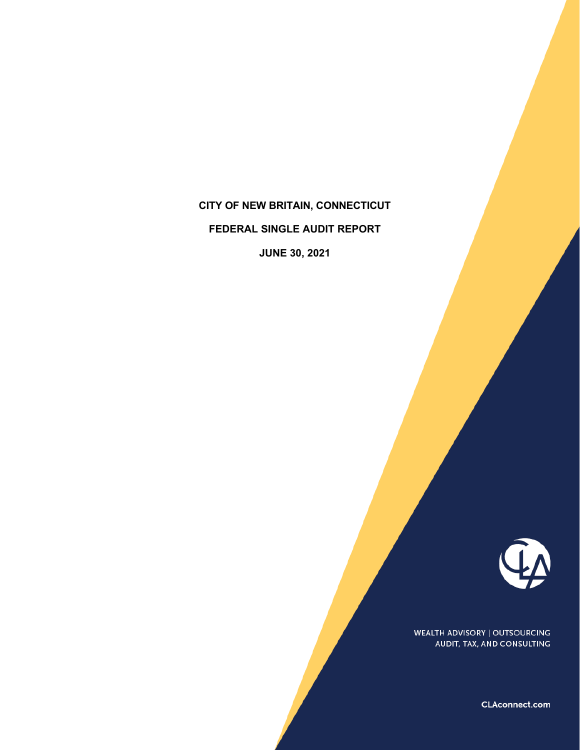# **CITY OF NEW BRITAIN, CONNECTICUT**

**FEDERAL SINGLE AUDIT REPORT** 

**JUNE 30, 2021** 



WEALTH ADVISORY | OUTSOURCING AUDIT, TAX, AND CONSULTING

CLAconnect.com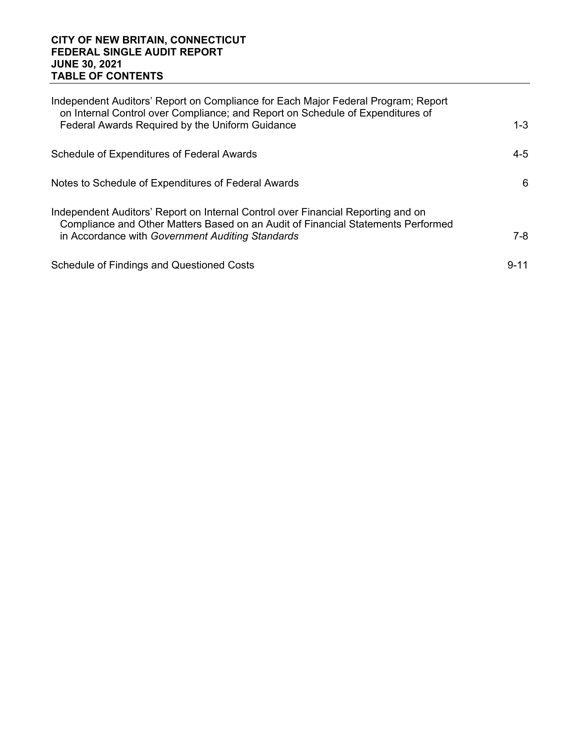#### **CITY OF NEW BRITAIN, CONNECTICUT FEDERAL SINGLE AUDIT REPORT JUNE 30, 2021 TABLE OF CONTENTS**

| Independent Auditors' Report on Compliance for Each Major Federal Program; Report<br>on Internal Control over Compliance; and Report on Schedule of Expenditures of  |          |
|----------------------------------------------------------------------------------------------------------------------------------------------------------------------|----------|
| Federal Awards Required by the Uniform Guidance                                                                                                                      | $1-3$    |
| Schedule of Expenditures of Federal Awards                                                                                                                           | 4-5      |
| Notes to Schedule of Expenditures of Federal Awards                                                                                                                  | 6        |
| Independent Auditors' Report on Internal Control over Financial Reporting and on<br>Compliance and Other Matters Based on an Audit of Financial Statements Performed |          |
| in Accordance with Government Auditing Standards                                                                                                                     | $7-8$    |
| Schedule of Findings and Questioned Costs                                                                                                                            | $9 - 11$ |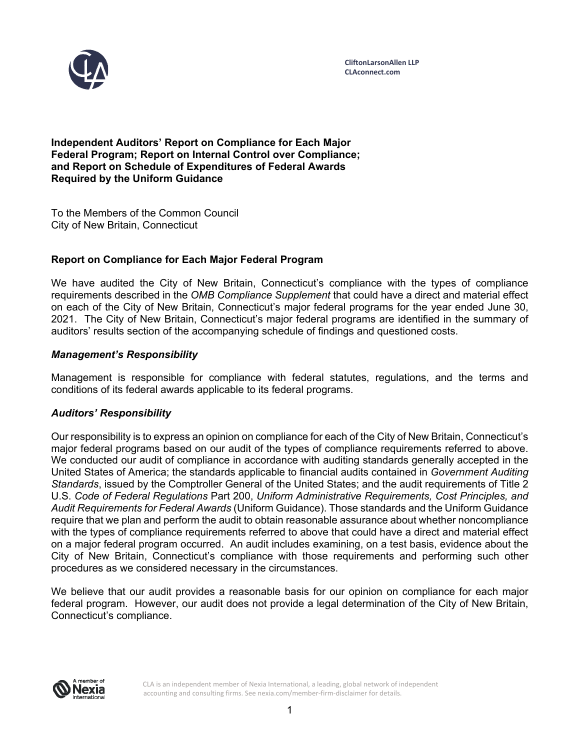

**Independent Auditors' Report on Compliance for Each Major Federal Program; Report on Internal Control over Compliance; and Report on Schedule of Expenditures of Federal Awards Required by the Uniform Guidance** 

To the Members of the Common Council City of New Britain, Connecticut

## **Report on Compliance for Each Major Federal Program**

We have audited the City of New Britain, Connecticut's compliance with the types of compliance requirements described in the *OMB Compliance Supplement* that could have a direct and material effect on each of the City of New Britain, Connecticut's major federal programs for the year ended June 30, 2021. The City of New Britain, Connecticut's major federal programs are identified in the summary of auditors' results section of the accompanying schedule of findings and questioned costs.

## *Management's Responsibility*

Management is responsible for compliance with federal statutes, regulations, and the terms and conditions of its federal awards applicable to its federal programs.

#### *Auditors' Responsibility*

Our responsibility is to express an opinion on compliance for each of the City of New Britain, Connecticut's major federal programs based on our audit of the types of compliance requirements referred to above. We conducted our audit of compliance in accordance with auditing standards generally accepted in the United States of America; the standards applicable to financial audits contained in *Government Auditing Standards*, issued by the Comptroller General of the United States; and the audit requirements of Title 2 U.S. *Code of Federal Regulations* Part 200, *Uniform Administrative Requirements, Cost Principles, and Audit Requirements for Federal Awards* (Uniform Guidance). Those standards and the Uniform Guidance require that we plan and perform the audit to obtain reasonable assurance about whether noncompliance with the types of compliance requirements referred to above that could have a direct and material effect on a major federal program occurred. An audit includes examining, on a test basis, evidence about the City of New Britain, Connecticut's compliance with those requirements and performing such other procedures as we considered necessary in the circumstances.

We believe that our audit provides a reasonable basis for our opinion on compliance for each major federal program. However, our audit does not provide a legal determination of the City of New Britain, Connecticut's compliance.

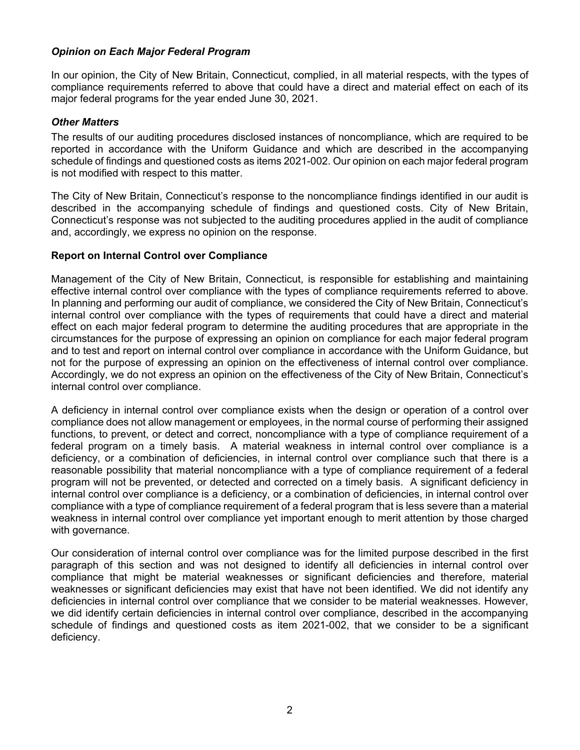## *Opinion on Each Major Federal Program*

In our opinion, the City of New Britain, Connecticut, complied, in all material respects, with the types of compliance requirements referred to above that could have a direct and material effect on each of its major federal programs for the year ended June 30, 2021.

## *Other Matters*

The results of our auditing procedures disclosed instances of noncompliance, which are required to be reported in accordance with the Uniform Guidance and which are described in the accompanying schedule of findings and questioned costs as items 2021-002. Our opinion on each major federal program is not modified with respect to this matter.

The City of New Britain, Connecticut's response to the noncompliance findings identified in our audit is described in the accompanying schedule of findings and questioned costs. City of New Britain, Connecticut's response was not subjected to the auditing procedures applied in the audit of compliance and, accordingly, we express no opinion on the response.

## **Report on Internal Control over Compliance**

Management of the City of New Britain, Connecticut, is responsible for establishing and maintaining effective internal control over compliance with the types of compliance requirements referred to above. In planning and performing our audit of compliance, we considered the City of New Britain, Connecticut's internal control over compliance with the types of requirements that could have a direct and material effect on each major federal program to determine the auditing procedures that are appropriate in the circumstances for the purpose of expressing an opinion on compliance for each major federal program and to test and report on internal control over compliance in accordance with the Uniform Guidance, but not for the purpose of expressing an opinion on the effectiveness of internal control over compliance. Accordingly, we do not express an opinion on the effectiveness of the City of New Britain, Connecticut's internal control over compliance.

A deficiency in internal control over compliance exists when the design or operation of a control over compliance does not allow management or employees, in the normal course of performing their assigned functions, to prevent, or detect and correct, noncompliance with a type of compliance requirement of a federal program on a timely basis. A material weakness in internal control over compliance is a deficiency, or a combination of deficiencies, in internal control over compliance such that there is a reasonable possibility that material noncompliance with a type of compliance requirement of a federal program will not be prevented, or detected and corrected on a timely basis. A significant deficiency in internal control over compliance is a deficiency, or a combination of deficiencies, in internal control over compliance with a type of compliance requirement of a federal program that is less severe than a material weakness in internal control over compliance yet important enough to merit attention by those charged with governance.

Our consideration of internal control over compliance was for the limited purpose described in the first paragraph of this section and was not designed to identify all deficiencies in internal control over compliance that might be material weaknesses or significant deficiencies and therefore, material weaknesses or significant deficiencies may exist that have not been identified. We did not identify any deficiencies in internal control over compliance that we consider to be material weaknesses. However, we did identify certain deficiencies in internal control over compliance, described in the accompanying schedule of findings and questioned costs as item 2021-002, that we consider to be a significant deficiency.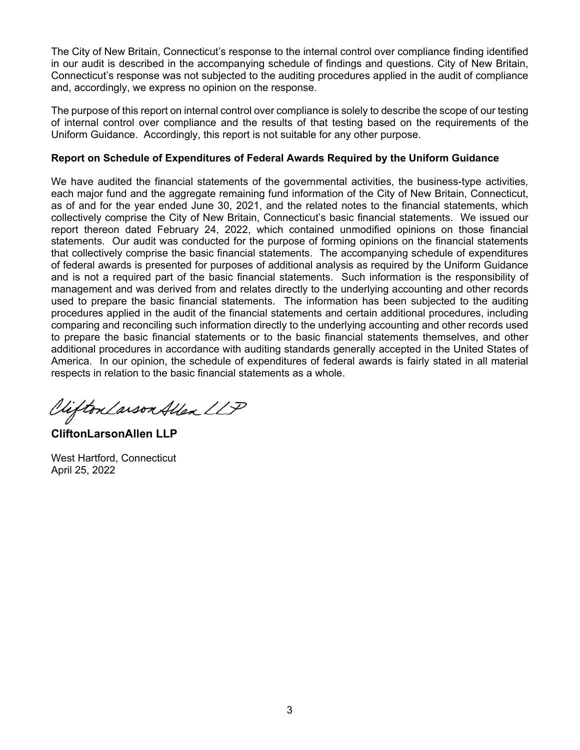The City of New Britain, Connecticut's response to the internal control over compliance finding identified in our audit is described in the accompanying schedule of findings and questions. City of New Britain, Connecticut's response was not subjected to the auditing procedures applied in the audit of compliance and, accordingly, we express no opinion on the response.

The purpose of this report on internal control over compliance is solely to describe the scope of our testing of internal control over compliance and the results of that testing based on the requirements of the Uniform Guidance. Accordingly, this report is not suitable for any other purpose.

## **Report on Schedule of Expenditures of Federal Awards Required by the Uniform Guidance**

We have audited the financial statements of the governmental activities, the business-type activities*,*  each major fund and the aggregate remaining fund information of the City of New Britain, Connecticut, as of and for the year ended June 30, 2021, and the related notes to the financial statements, which collectively comprise the City of New Britain, Connecticut's basic financial statements. We issued our report thereon dated February 24, 2022, which contained unmodified opinions on those financial statements. Our audit was conducted for the purpose of forming opinions on the financial statements that collectively comprise the basic financial statements. The accompanying schedule of expenditures of federal awards is presented for purposes of additional analysis as required by the Uniform Guidance and is not a required part of the basic financial statements. Such information is the responsibility of management and was derived from and relates directly to the underlying accounting and other records used to prepare the basic financial statements. The information has been subjected to the auditing procedures applied in the audit of the financial statements and certain additional procedures, including comparing and reconciling such information directly to the underlying accounting and other records used to prepare the basic financial statements or to the basic financial statements themselves, and other additional procedures in accordance with auditing standards generally accepted in the United States of America. In our opinion, the schedule of expenditures of federal awards is fairly stated in all material respects in relation to the basic financial statements as a whole.

Clifton Larson Allen LLP

**CliftonLarsonAllen LLP** 

West Hartford, Connecticut April 25, 2022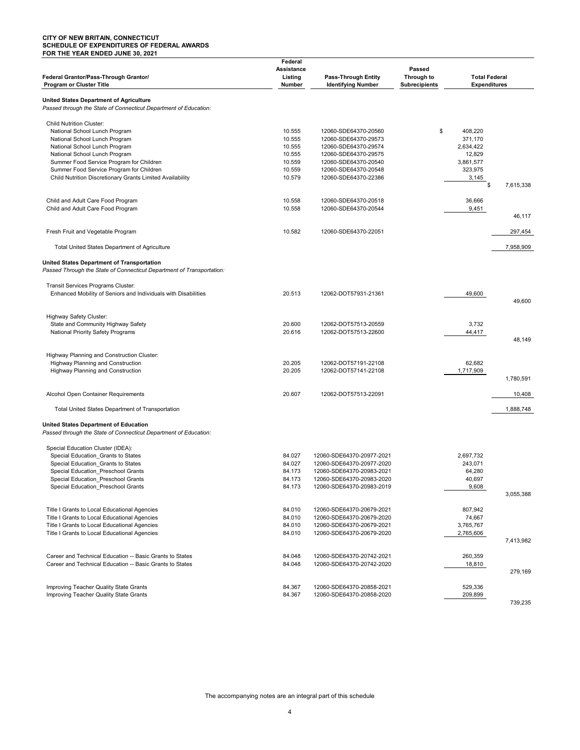#### **CITY OF NEW BRITAIN, CONNECTICUT SCHEDULE OF EXPENDITURES OF FEDERAL AWARDS FOR THE YEAR ENDED JUNE 30, 2021**

|                                                                                                                     | Federal    |                           |                      |                      |           |
|---------------------------------------------------------------------------------------------------------------------|------------|---------------------------|----------------------|----------------------|-----------|
|                                                                                                                     | Assistance |                           | Passed               |                      |           |
| Federal Grantor/Pass-Through Grantor/                                                                               | Listing    | Pass-Through Entity       | <b>Through to</b>    | <b>Total Federal</b> |           |
| Program or Cluster Title                                                                                            | Number     | <b>Identifying Number</b> | <b>Subrecipients</b> | <b>Expenditures</b>  |           |
|                                                                                                                     |            |                           |                      |                      |           |
| <b>United States Department of Agriculture</b><br>Passed through the State of Connecticut Department of Education:  |            |                           |                      |                      |           |
|                                                                                                                     |            |                           |                      |                      |           |
| <b>Child Nutrition Cluster:</b>                                                                                     |            |                           |                      |                      |           |
| National School Lunch Program                                                                                       | 10.555     | 12060-SDE64370-20560      | \$                   | 408,220              |           |
| National School Lunch Program                                                                                       | 10.555     | 12060-SDE64370-29573      |                      | 371,170              |           |
| National School Lunch Program                                                                                       | 10.555     | 12060-SDE64370-29574      |                      | 2,634,422            |           |
| National School Lunch Program                                                                                       | 10.555     | 12060-SDE64370-29575      |                      | 12,829               |           |
| Summer Food Service Program for Children                                                                            | 10.559     | 12060-SDE64370-20540      |                      | 3,861,577            |           |
| Summer Food Service Program for Children                                                                            | 10.559     | 12060-SDE64370-20548      |                      | 323,975              |           |
| Child Nutrition Discretionary Grants Limited Availability                                                           | 10.579     | 12060-SDE64370-22386      |                      | 3,145                |           |
|                                                                                                                     |            |                           |                      | \$                   | 7,615,338 |
|                                                                                                                     |            |                           |                      |                      |           |
| Child and Adult Care Food Program                                                                                   | 10.558     | 12060-SDE64370-20518      |                      | 36,666               |           |
| Child and Adult Care Food Program                                                                                   | 10.558     | 12060-SDE64370-20544      |                      | 9,451                |           |
|                                                                                                                     |            |                           |                      |                      | 46,117    |
| Fresh Fruit and Vegetable Program                                                                                   | 10.582     | 12060-SDE64370-22051      |                      |                      | 297,454   |
|                                                                                                                     |            |                           |                      |                      |           |
| Total United States Department of Agriculture                                                                       |            |                           |                      |                      | 7,958,909 |
|                                                                                                                     |            |                           |                      |                      |           |
| United States Department of Transportation<br>Passed Through the State of Connecticut Department of Transportation: |            |                           |                      |                      |           |
|                                                                                                                     |            |                           |                      |                      |           |
| Transit Services Programs Cluster:                                                                                  |            |                           |                      |                      |           |
| Enhanced Mobility of Seniors and Individuals with Disabilities                                                      | 20.513     | 12062-DOT57931-21361      |                      | 49,600               |           |
|                                                                                                                     |            |                           |                      |                      | 49,600    |
|                                                                                                                     |            |                           |                      |                      |           |
| Highway Safety Cluster:                                                                                             |            |                           |                      |                      |           |
| State and Community Highway Safety                                                                                  | 20.600     | 12062-DOT57513-20559      |                      | 3,732                |           |
| National Priority Safety Programs                                                                                   | 20.616     | 12062-DOT57513-22600      |                      | 44,417               |           |
|                                                                                                                     |            |                           |                      |                      | 48,149    |
|                                                                                                                     |            |                           |                      |                      |           |
| Highway Planning and Construction Cluster:                                                                          |            |                           |                      |                      |           |
| <b>Highway Planning and Construction</b>                                                                            | 20.205     | 12062-DOT57191-22108      |                      | 62,682               |           |
| Highway Planning and Construction                                                                                   | 20.205     | 12062-DOT57141-22108      |                      | 1,717,909            |           |
|                                                                                                                     |            |                           |                      |                      | 1,780,591 |
| Alcohol Open Container Requirements                                                                                 | 20.607     | 12062-DOT57513-22091      |                      |                      | 10,408    |
|                                                                                                                     |            |                           |                      |                      |           |
| Total United States Department of Transportation                                                                    |            |                           |                      |                      | 1,888,748 |
|                                                                                                                     |            |                           |                      |                      |           |
| United States Department of Education                                                                               |            |                           |                      |                      |           |
| Passed through the State of Connecticut Department of Education:                                                    |            |                           |                      |                      |           |
| Special Education Cluster (IDEA):                                                                                   |            |                           |                      |                      |           |
| Special Education Grants to States                                                                                  | 84.027     | 12060-SDE64370-20977-2021 |                      | 2,697,732            |           |
| Special Education_Grants to States                                                                                  | 84.027     | 12060-SDE64370-20977-2020 |                      | 243,071              |           |
| Special Education_Preschool Grants                                                                                  | 84.173     | 12060-SDE64370-20983-2021 |                      | 64,280               |           |
| Special Education Preschool Grants                                                                                  | 84.173     | 12060-SDE64370-20983-2020 |                      | 40,697               |           |
| Special Education_Preschool Grants                                                                                  | 84.173     | 12060-SDE64370-20983-2019 |                      | 9,608                |           |
|                                                                                                                     |            |                           |                      |                      | 3,055,388 |
|                                                                                                                     |            |                           |                      |                      |           |
| Title I Grants to Local Educational Agencies                                                                        | 84.010     | 12060-SDE64370-20679-2021 |                      | 807,942              |           |
| Title I Grants to Local Educational Agencies                                                                        | 84.010     | 12060-SDE64370-20679-2020 |                      | 74,667               |           |
| Title I Grants to Local Educational Agencies                                                                        | 84.010     | 12060-SDE64370-20679-2021 |                      | 3,765,767            |           |
| Title I Grants to Local Educational Agencies                                                                        | 84.010     | 12060-SDE64370-20679-2020 |                      | 2,765,606            |           |
|                                                                                                                     |            |                           |                      |                      | 7,413,982 |
|                                                                                                                     |            |                           |                      |                      |           |
| Career and Technical Education -- Basic Grants to States                                                            | 84.048     | 12060-SDE64370-20742-2021 |                      | 260,359              |           |
| Career and Technical Education -- Basic Grants to States                                                            | 84.048     | 12060-SDE64370-20742-2020 |                      | 18,810               |           |
|                                                                                                                     |            |                           |                      |                      | 279,169   |
| Improving Teacher Quality State Grants                                                                              | 84.367     | 12060-SDE64370-20858-2021 |                      | 529,336              |           |
| Improving Teacher Quality State Grants                                                                              | 84.367     | 12060-SDE64370-20858-2020 |                      | 209,899              |           |
|                                                                                                                     |            |                           |                      |                      |           |

739,235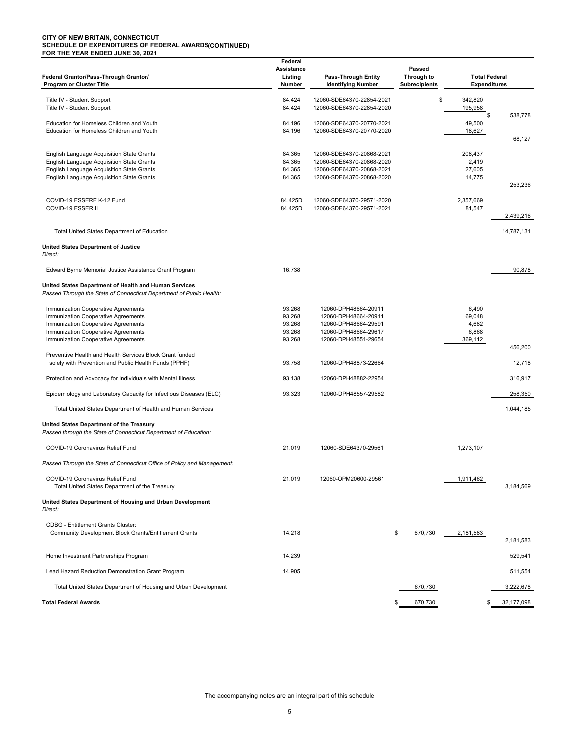#### **SCHEDULE OF EXPENDITURES OF FEDERAL AWARDS(CONTINUED) CITY OF NEW BRITAIN, CONNECTICUT SCHEDULE OF EXPENDITURES OF FEDERAL AWARDS( FOR THE YEAR ENDED JUNE 30, 2021**

|                                                                                                                                                                                  | Federal<br>Assistance                |                                                                                                                  | Passed                             |                                             |                   |
|----------------------------------------------------------------------------------------------------------------------------------------------------------------------------------|--------------------------------------|------------------------------------------------------------------------------------------------------------------|------------------------------------|---------------------------------------------|-------------------|
| Federal Grantor/Pass-Through Grantor/<br><b>Program or Cluster Title</b>                                                                                                         | Listing<br>Number                    | <b>Pass-Through Entity</b><br><b>Identifying Number</b>                                                          | Through to<br><b>Subrecipients</b> | <b>Total Federal</b><br><b>Expenditures</b> |                   |
| Title IV - Student Support<br>Title IV - Student Support                                                                                                                         | 84.424<br>84.424                     | 12060-SDE64370-22854-2021<br>12060-SDE64370-22854-2020                                                           | \$                                 | 342,820<br>195,958                          |                   |
| Education for Homeless Children and Youth<br>Education for Homeless Children and Youth                                                                                           | 84.196<br>84.196                     | 12060-SDE64370-20770-2021<br>12060-SDE64370-20770-2020                                                           |                                    | \$<br>49,500<br>18,627                      | 538.778<br>68,127 |
| English Language Acquisition State Grants<br>English Language Acquisition State Grants<br>English Language Acquisition State Grants<br>English Language Acquisition State Grants | 84.365<br>84.365<br>84.365<br>84.365 | 12060-SDE64370-20868-2021<br>12060-SDE64370-20868-2020<br>12060-SDE64370-20868-2021<br>12060-SDE64370-20868-2020 |                                    | 208,437<br>2,419<br>27,605<br>14,775        | 253,236           |
| COVID-19 ESSERF K-12 Fund<br>COVID-19 ESSER II                                                                                                                                   | 84.425D<br>84.425D                   | 12060-SDE64370-29571-2020<br>12060-SDE64370-29571-2021                                                           |                                    | 2,357,669<br>81,547                         | 2,439,216         |
| Total United States Department of Education                                                                                                                                      |                                      |                                                                                                                  |                                    |                                             | 14,787,131        |
| <b>United States Department of Justice</b><br>Direct:                                                                                                                            |                                      |                                                                                                                  |                                    |                                             |                   |
| Edward Byrne Memorial Justice Assistance Grant Program                                                                                                                           | 16.738                               |                                                                                                                  |                                    |                                             | 90,878            |
| United States Department of Health and Human Services<br>Passed Through the State of Connecticut Department of Public Health:                                                    |                                      |                                                                                                                  |                                    |                                             |                   |
| Immunization Cooperative Agreements<br>Immunization Cooperative Agreements<br>Immunization Cooperative Agreements<br>Immunization Cooperative Agreements                         | 93.268<br>93.268<br>93.268<br>93.268 | 12060-DPH48664-20911<br>12060-DPH48664-20911<br>12060-DPH48664-29591<br>12060-DPH48664-29617                     |                                    | 6,490<br>69,048<br>4,682<br>6,868           |                   |
| Immunization Cooperative Agreements                                                                                                                                              | 93.268                               | 12060-DPH48551-29654                                                                                             |                                    | 369,112                                     | 456,200           |
| Preventive Health and Health Services Block Grant funded<br>solely with Prevention and Public Health Funds (PPHF)                                                                | 93.758                               | 12060-DPH48873-22664                                                                                             |                                    |                                             | 12,718            |
| Protection and Advocacy for Individuals with Mental Illness                                                                                                                      | 93.138                               | 12060-DPH48882-22954                                                                                             |                                    |                                             | 316,917           |
| Epidemiology and Laboratory Capacity for Infectious Diseases (ELC)                                                                                                               | 93.323                               | 12060-DPH48557-29582                                                                                             |                                    |                                             | 258,350           |
| Total United States Department of Health and Human Services                                                                                                                      |                                      |                                                                                                                  |                                    |                                             | 1,044,185         |
| United States Department of the Treasury<br>Passed through the State of Connecticut Department of Education:                                                                     |                                      |                                                                                                                  |                                    |                                             |                   |
| COVID-19 Coronavirus Relief Fund                                                                                                                                                 | 21.019                               | 12060-SDE64370-29561                                                                                             |                                    | 1,273,107                                   |                   |
| Passed Through the State of Connecticut Office of Policy and Management:                                                                                                         |                                      |                                                                                                                  |                                    |                                             |                   |
| COVID-19 Coronavirus Relief Fund<br>Total United States Department of the Treasury                                                                                               | 21.019                               | 12060-OPM20600-29561                                                                                             |                                    | 1,911,462                                   | 3,184,569         |
| United States Department of Housing and Urban Development<br>Direct:                                                                                                             |                                      |                                                                                                                  |                                    |                                             |                   |
| <b>CDBG - Entitlement Grants Cluster:</b><br>Community Development Block Grants/Entitlement Grants                                                                               | 14.218                               |                                                                                                                  | \$<br>670,730                      | 2,181,583                                   | 2,181,583         |
| Home Investment Partnerships Program                                                                                                                                             | 14.239                               |                                                                                                                  |                                    |                                             | 529,541           |
| Lead Hazard Reduction Demonstration Grant Program                                                                                                                                | 14.905                               |                                                                                                                  |                                    |                                             | 511,554           |
| Total United States Department of Housing and Urban Development                                                                                                                  |                                      |                                                                                                                  | 670,730                            |                                             | 3,222,678         |
| <b>Total Federal Awards</b>                                                                                                                                                      |                                      |                                                                                                                  | 670,730                            |                                             | 32, 177, 098      |

The accompanying notes are an integral part of this schedule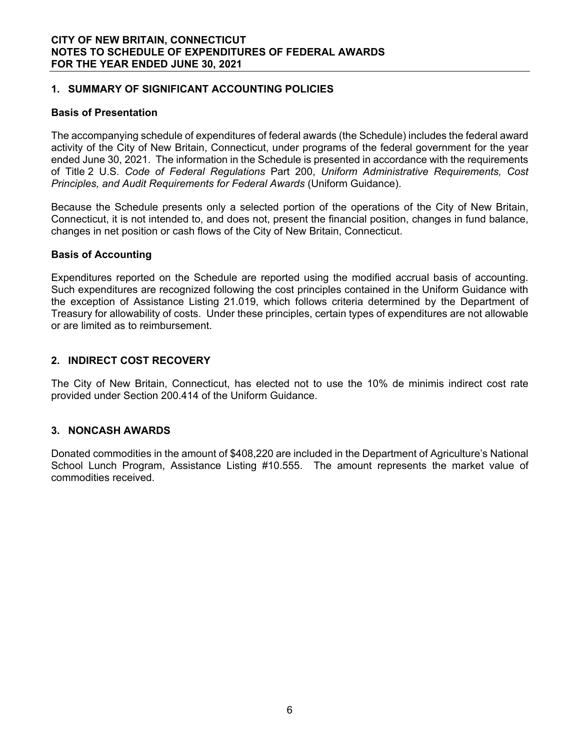## **1. SUMMARY OF SIGNIFICANT ACCOUNTING POLICIES**

## **Basis of Presentation**

The accompanying schedule of expenditures of federal awards (the Schedule) includes the federal award activity of the City of New Britain, Connecticut, under programs of the federal government for the year ended June 30, 2021. The information in the Schedule is presented in accordance with the requirements of Title 2 U.S. *Code of Federal Regulations* Part 200, *Uniform Administrative Requirements, Cost Principles, and Audit Requirements for Federal Awards* (Uniform Guidance).

Because the Schedule presents only a selected portion of the operations of the City of New Britain, Connecticut, it is not intended to, and does not, present the financial position, changes in fund balance, changes in net position or cash flows of the City of New Britain, Connecticut.

## **Basis of Accounting**

Expenditures reported on the Schedule are reported using the modified accrual basis of accounting. Such expenditures are recognized following the cost principles contained in the Uniform Guidance with the exception of Assistance Listing 21.019, which follows criteria determined by the Department of Treasury for allowability of costs. Under these principles, certain types of expenditures are not allowable or are limited as to reimbursement.

## **2. INDIRECT COST RECOVERY**

The City of New Britain, Connecticut, has elected not to use the 10% de minimis indirect cost rate provided under Section 200.414 of the Uniform Guidance.

## **3. NONCASH AWARDS**

Donated commodities in the amount of \$408,220 are included in the Department of Agriculture's National School Lunch Program, Assistance Listing #10.555. The amount represents the market value of commodities received.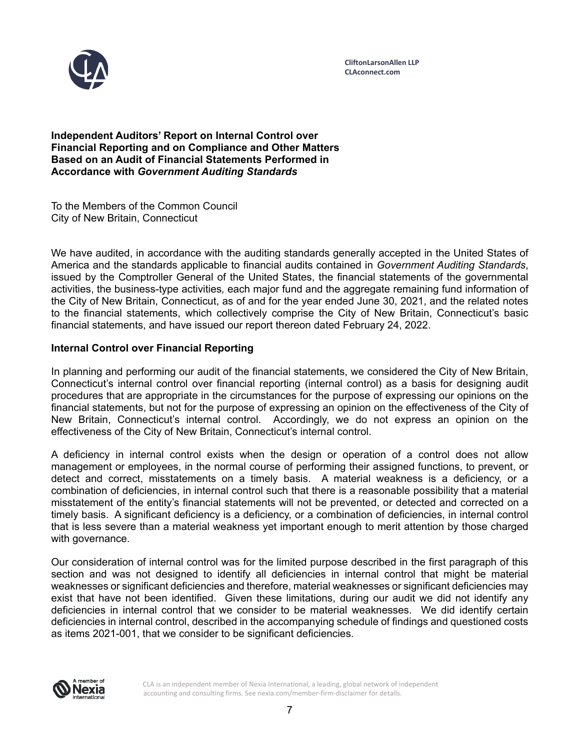

**CliftonLarsonAllen LLP CLAconnect.com**

**Independent Auditors' Report on Internal Control over Financial Reporting and on Compliance and Other Matters Based on an Audit of Financial Statements Performed in Accordance with** *Government Auditing Standards* 

To the Members of the Common Council City of New Britain, Connecticut

We have audited, in accordance with the auditing standards generally accepted in the United States of America and the standards applicable to financial audits contained in *Government Auditing Standards*, issued by the Comptroller General of the United States, the financial statements of the governmental activities, the business-type activities*,* each major fund and the aggregate remaining fund information of the City of New Britain, Connecticut, as of and for the year ended June 30, 2021, and the related notes to the financial statements, which collectively comprise the City of New Britain, Connecticut's basic financial statements, and have issued our report thereon dated February 24, 2022.

## **Internal Control over Financial Reporting**

In planning and performing our audit of the financial statements, we considered the City of New Britain, Connecticut's internal control over financial reporting (internal control) as a basis for designing audit procedures that are appropriate in the circumstances for the purpose of expressing our opinions on the financial statements, but not for the purpose of expressing an opinion on the effectiveness of the City of New Britain, Connecticut's internal control. Accordingly, we do not express an opinion on the effectiveness of the City of New Britain, Connecticut's internal control.

A deficiency in internal control exists when the design or operation of a control does not allow management or employees, in the normal course of performing their assigned functions, to prevent, or detect and correct, misstatements on a timely basis. A material weakness is a deficiency, or a combination of deficiencies, in internal control such that there is a reasonable possibility that a material misstatement of the entity's financial statements will not be prevented, or detected and corrected on a timely basis. A significant deficiency is a deficiency, or a combination of deficiencies, in internal control that is less severe than a material weakness yet important enough to merit attention by those charged with governance.

Our consideration of internal control was for the limited purpose described in the first paragraph of this section and was not designed to identify all deficiencies in internal control that might be material weaknesses or significant deficiencies and therefore, material weaknesses or significant deficiencies may exist that have not been identified. Given these limitations, during our audit we did not identify any deficiencies in internal control that we consider to be material weaknesses. We did identify certain deficiencies in internal control, described in the accompanying schedule of findings and questioned costs as items 2021-001, that we consider to be significant deficiencies.



CLA is an independent member of Nexia International, a leading, global network of independent accounting and consulting firms. See nexia.com/member-firm-disclaimer for details.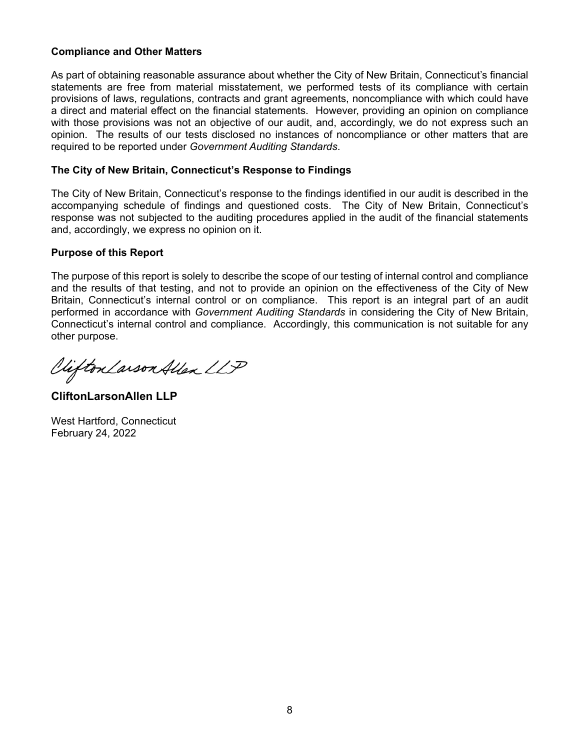## **Compliance and Other Matters**

As part of obtaining reasonable assurance about whether the City of New Britain, Connecticut's financial statements are free from material misstatement, we performed tests of its compliance with certain provisions of laws, regulations, contracts and grant agreements, noncompliance with which could have a direct and material effect on the financial statements. However, providing an opinion on compliance with those provisions was not an objective of our audit, and, accordingly, we do not express such an opinion. The results of our tests disclosed no instances of noncompliance or other matters that are required to be reported under *Government Auditing Standards*.

#### **The City of New Britain, Connecticut's Response to Findings**

The City of New Britain, Connecticut's response to the findings identified in our audit is described in the accompanying schedule of findings and questioned costs. The City of New Britain, Connecticut's response was not subjected to the auditing procedures applied in the audit of the financial statements and, accordingly, we express no opinion on it.

## **Purpose of this Report**

The purpose of this report is solely to describe the scope of our testing of internal control and compliance and the results of that testing, and not to provide an opinion on the effectiveness of the City of New Britain, Connecticut's internal control or on compliance. This report is an integral part of an audit performed in accordance with *Government Auditing Standards* in considering the City of New Britain, Connecticut's internal control and compliance. Accordingly, this communication is not suitable for any other purpose.

Viifton Larson Allen LLP

**CliftonLarsonAllen LLP** 

West Hartford, Connecticut February 24, 2022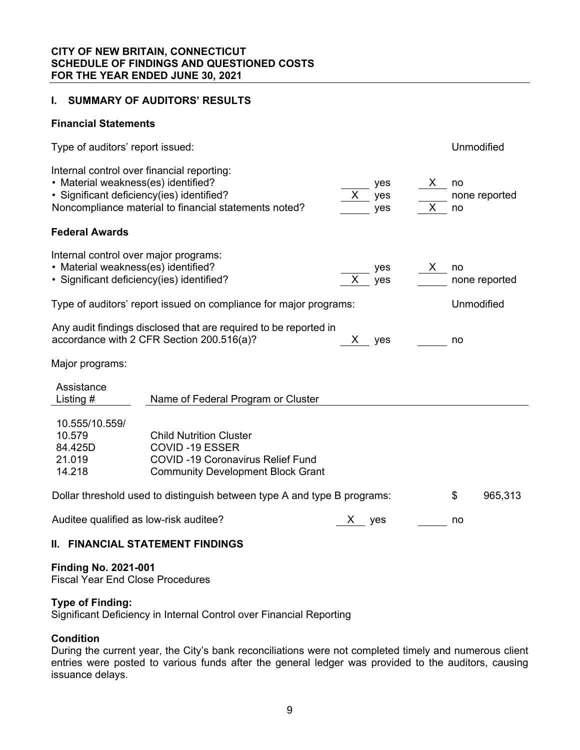## **CITY OF NEW BRITAIN, CONNECTICUT SCHEDULE OF FINDINGS AND QUESTIONED COSTS FOR THE YEAR ENDED JUNE 30, 2021**

## **I. SUMMARY OF AUDITORS' RESULTS**

## **Financial Statements**

| Type of auditors' report issued:                                                                                               |                                                                                                                                                |                   |         | Unmodified                |  |
|--------------------------------------------------------------------------------------------------------------------------------|------------------------------------------------------------------------------------------------------------------------------------------------|-------------------|---------|---------------------------|--|
| Internal control over financial reporting:<br>• Material weakness(es) identified?<br>· Significant deficiency(ies) identified? | Noncompliance material to financial statements noted?                                                                                          | yes<br>yes<br>yes | X.<br>X | no<br>none reported<br>no |  |
| <b>Federal Awards</b>                                                                                                          |                                                                                                                                                |                   |         |                           |  |
| Internal control over major programs:<br>• Material weakness(es) identified?<br>· Significant deficiency(ies) identified?      |                                                                                                                                                | yes<br>yes        | X.      | no<br>none reported       |  |
| Unmodified<br>Type of auditors' report issued on compliance for major programs:                                                |                                                                                                                                                |                   |         |                           |  |
|                                                                                                                                | Any audit findings disclosed that are required to be reported in<br>accordance with 2 CFR Section 200.516(a)?                                  | X.<br>yes         |         | no                        |  |
| Major programs:                                                                                                                |                                                                                                                                                |                   |         |                           |  |
| Assistance<br>Listing $#$                                                                                                      | Name of Federal Program or Cluster                                                                                                             |                   |         |                           |  |
| 10.555/10.559/<br>10.579<br>84.425D<br>21.019<br>14.218                                                                        | <b>Child Nutrition Cluster</b><br><b>COVID-19 ESSER</b><br><b>COVID-19 Coronavirus Relief Fund</b><br><b>Community Development Block Grant</b> |                   |         |                           |  |
|                                                                                                                                | Dollar threshold used to distinguish between type A and type B programs:                                                                       |                   |         | \$<br>965,313             |  |
| Auditee qualified as low-risk auditee?                                                                                         |                                                                                                                                                | X yes             |         | no                        |  |
|                                                                                                                                | <b>II. FINANCIAL STATEMENT FINDINGS</b>                                                                                                        |                   |         |                           |  |
| <b>Finding No. 2021-001</b><br><b>Fiscal Year End Close Procedures</b>                                                         |                                                                                                                                                |                   |         |                           |  |

## **Type of Finding:**

Significant Deficiency in Internal Control over Financial Reporting

## **Condition**

During the current year, the City's bank reconciliations were not completed timely and numerous client entries were posted to various funds after the general ledger was provided to the auditors, causing issuance delays.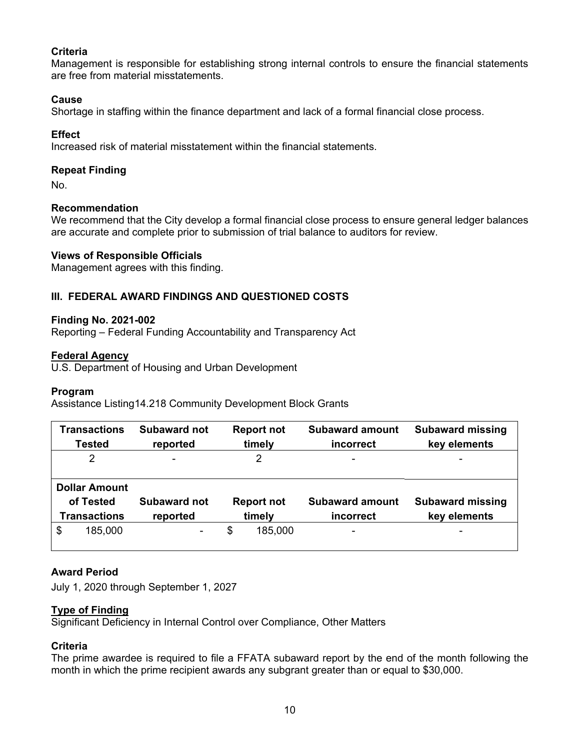## **Criteria**

Management is responsible for establishing strong internal controls to ensure the financial statements are free from material misstatements.

## **Cause**

Shortage in staffing within the finance department and lack of a formal financial close process.

## **Effect**

Increased risk of material misstatement within the financial statements.

## **Repeat Finding**

No.

## **Recommendation**

We recommend that the City develop a formal financial close process to ensure general ledger balances are accurate and complete prior to submission of trial balance to auditors for review.

## **Views of Responsible Officials**

Management agrees with this finding.

## **III. FEDERAL AWARD FINDINGS AND QUESTIONED COSTS**

## **Finding No. 2021-002**

Reporting – Federal Funding Accountability and Transparency Act

## **Federal Agency**

U.S. Department of Housing and Urban Development

#### **Program**

Assistance Listing14.218 Community Development Block Grants

| Transactions<br>Tested                            | <b>Subaward not</b><br>reported | <b>Report not</b><br>timely | <b>Subaward amount</b><br>incorrect | <b>Subaward missing</b><br>key elements |
|---------------------------------------------------|---------------------------------|-----------------------------|-------------------------------------|-----------------------------------------|
| 2                                                 |                                 | 2                           | ۰                                   | ۰                                       |
| <b>Dollar Amount</b><br>of Tested<br>Transactions | Subaward not<br>reported        | <b>Report not</b><br>timely | <b>Subaward amount</b><br>incorrect | <b>Subaward missing</b><br>key elements |
| \$<br>185,000                                     |                                 | \$<br>185,000               | $\overline{\phantom{a}}$            | ۰                                       |

## **Award Period**

July 1, 2020 through September 1, 2027

## **Type of Finding**

Significant Deficiency in Internal Control over Compliance, Other Matters

## **Criteria**

The prime awardee is required to file a FFATA subaward report by the end of the month following the month in which the prime recipient awards any subgrant greater than or equal to \$30,000.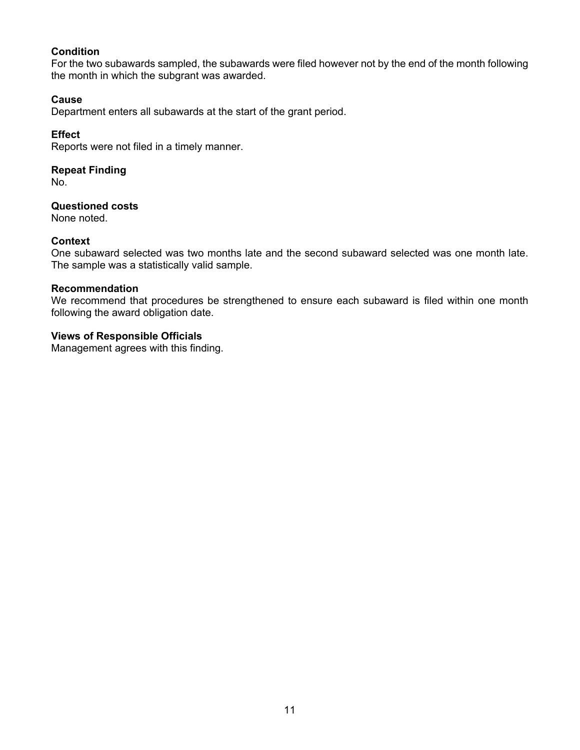## **Condition**

For the two subawards sampled, the subawards were filed however not by the end of the month following the month in which the subgrant was awarded.

## **Cause**

Department enters all subawards at the start of the grant period.

## **Effect**

Reports were not filed in a timely manner.

## **Repeat Finding**

No.

## **Questioned costs**

None noted.

## **Context**

One subaward selected was two months late and the second subaward selected was one month late. The sample was a statistically valid sample.

## **Recommendation**

We recommend that procedures be strengthened to ensure each subaward is filed within one month following the award obligation date.

## **Views of Responsible Officials**

Management agrees with this finding.